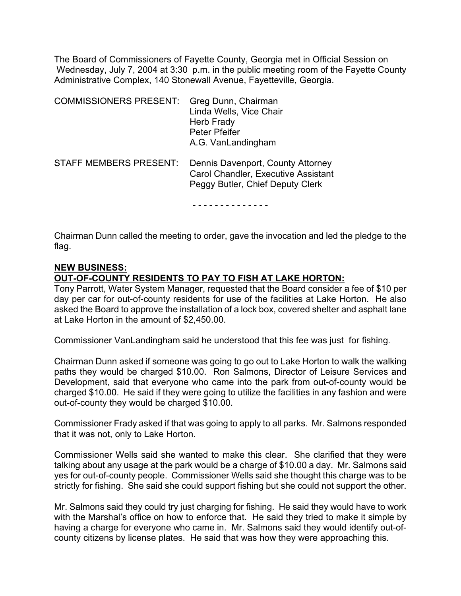The Board of Commissioners of Fayette County, Georgia met in Official Session on Wednesday, July 7, 2004 at 3:30 p.m. in the public meeting room of the Fayette County Administrative Complex, 140 Stonewall Avenue, Fayetteville, Georgia.

| <b>COMMISSIONERS PRESENT:</b> | Greg Dunn, Chairman<br>Linda Wells, Vice Chair<br><b>Herb Frady</b><br>Peter Pfeifer<br>A.G. VanLandingham   |
|-------------------------------|--------------------------------------------------------------------------------------------------------------|
| <b>STAFF MEMBERS PRESENT:</b> | Dennis Davenport, County Attorney<br>Carol Chandler, Executive Assistant<br>Peggy Butler, Chief Deputy Clerk |
|                               |                                                                                                              |

Chairman Dunn called the meeting to order, gave the invocation and led the pledge to the flag.

# **NEW BUSINESS:**

# **OUT-OF-COUNTY RESIDENTS TO PAY TO FISH AT LAKE HORTON:**

Tony Parrott, Water System Manager, requested that the Board consider a fee of \$10 per day per car for out-of-county residents for use of the facilities at Lake Horton. He also asked the Board to approve the installation of a lock box, covered shelter and asphalt lane at Lake Horton in the amount of \$2,450.00.

Commissioner VanLandingham said he understood that this fee was just for fishing.

Chairman Dunn asked if someone was going to go out to Lake Horton to walk the walking paths they would be charged \$10.00. Ron Salmons, Director of Leisure Services and Development, said that everyone who came into the park from out-of-county would be charged \$10.00. He said if they were going to utilize the facilities in any fashion and were out-of-county they would be charged \$10.00.

Commissioner Frady asked if that was going to apply to all parks. Mr. Salmons responded that it was not, only to Lake Horton.

Commissioner Wells said she wanted to make this clear. She clarified that they were talking about any usage at the park would be a charge of \$10.00 a day. Mr. Salmons said yes for out-of-county people. Commissioner Wells said she thought this charge was to be strictly for fishing. She said she could support fishing but she could not support the other.

Mr. Salmons said they could try just charging for fishing. He said they would have to work with the Marshal's office on how to enforce that. He said they tried to make it simple by having a charge for everyone who came in. Mr. Salmons said they would identify out-ofcounty citizens by license plates. He said that was how they were approaching this.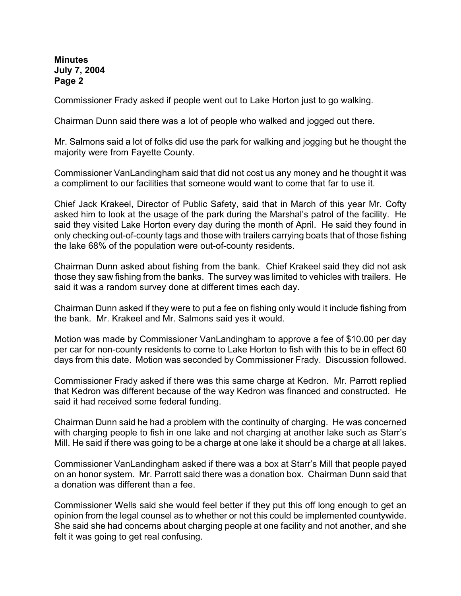Commissioner Frady asked if people went out to Lake Horton just to go walking.

Chairman Dunn said there was a lot of people who walked and jogged out there.

Mr. Salmons said a lot of folks did use the park for walking and jogging but he thought the majority were from Fayette County.

Commissioner VanLandingham said that did not cost us any money and he thought it was a compliment to our facilities that someone would want to come that far to use it.

Chief Jack Krakeel, Director of Public Safety, said that in March of this year Mr. Cofty asked him to look at the usage of the park during the Marshal's patrol of the facility. He said they visited Lake Horton every day during the month of April. He said they found in only checking out-of-county tags and those with trailers carrying boats that of those fishing the lake 68% of the population were out-of-county residents.

Chairman Dunn asked about fishing from the bank. Chief Krakeel said they did not ask those they saw fishing from the banks. The survey was limited to vehicles with trailers. He said it was a random survey done at different times each day.

Chairman Dunn asked if they were to put a fee on fishing only would it include fishing from the bank. Mr. Krakeel and Mr. Salmons said yes it would.

Motion was made by Commissioner VanLandingham to approve a fee of \$10.00 per day per car for non-county residents to come to Lake Horton to fish with this to be in effect 60 days from this date. Motion was seconded by Commissioner Frady. Discussion followed.

Commissioner Frady asked if there was this same charge at Kedron. Mr. Parrott replied that Kedron was different because of the way Kedron was financed and constructed. He said it had received some federal funding.

Chairman Dunn said he had a problem with the continuity of charging. He was concerned with charging people to fish in one lake and not charging at another lake such as Starr's Mill. He said if there was going to be a charge at one lake it should be a charge at all lakes.

Commissioner VanLandingham asked if there was a box at Starr's Mill that people payed on an honor system. Mr. Parrott said there was a donation box. Chairman Dunn said that a donation was different than a fee.

Commissioner Wells said she would feel better if they put this off long enough to get an opinion from the legal counsel as to whether or not this could be implemented countywide. She said she had concerns about charging people at one facility and not another, and she felt it was going to get real confusing.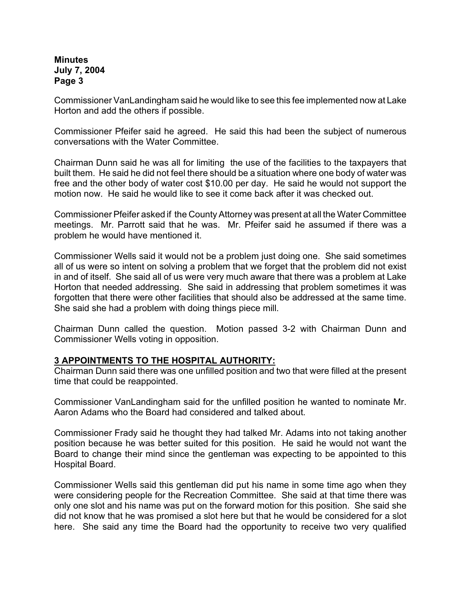Commissioner VanLandingham said he would like to see this fee implemented now at Lake Horton and add the others if possible.

Commissioner Pfeifer said he agreed. He said this had been the subject of numerous conversations with the Water Committee.

Chairman Dunn said he was all for limiting the use of the facilities to the taxpayers that built them. He said he did not feel there should be a situation where one body of water was free and the other body of water cost \$10.00 per day. He said he would not support the motion now. He said he would like to see it come back after it was checked out.

Commissioner Pfeifer asked if the County Attorney was present at all the Water Committee meetings. Mr. Parrott said that he was. Mr. Pfeifer said he assumed if there was a problem he would have mentioned it.

Commissioner Wells said it would not be a problem just doing one. She said sometimes all of us were so intent on solving a problem that we forget that the problem did not exist in and of itself. She said all of us were very much aware that there was a problem at Lake Horton that needed addressing. She said in addressing that problem sometimes it was forgotten that there were other facilities that should also be addressed at the same time. She said she had a problem with doing things piece mill.

Chairman Dunn called the question. Motion passed 3-2 with Chairman Dunn and Commissioner Wells voting in opposition.

# **3 APPOINTMENTS TO THE HOSPITAL AUTHORITY:**

Chairman Dunn said there was one unfilled position and two that were filled at the present time that could be reappointed.

Commissioner VanLandingham said for the unfilled position he wanted to nominate Mr. Aaron Adams who the Board had considered and talked about.

Commissioner Frady said he thought they had talked Mr. Adams into not taking another position because he was better suited for this position. He said he would not want the Board to change their mind since the gentleman was expecting to be appointed to this Hospital Board.

Commissioner Wells said this gentleman did put his name in some time ago when they were considering people for the Recreation Committee. She said at that time there was only one slot and his name was put on the forward motion for this position. She said she did not know that he was promised a slot here but that he would be considered for a slot here. She said any time the Board had the opportunity to receive two very qualified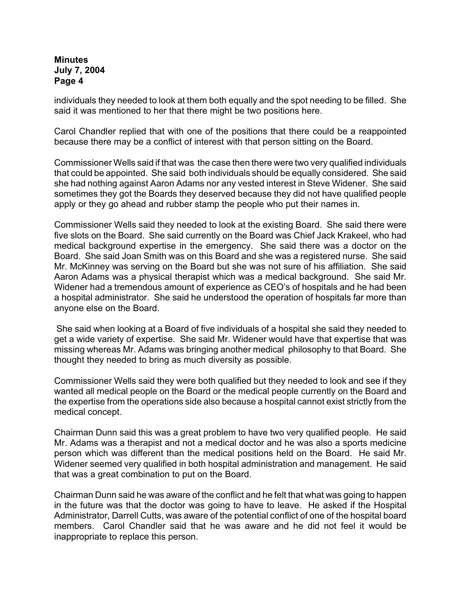individuals they needed to look at them both equally and the spot needing to be filled. She said it was mentioned to her that there might be two positions here.

Carol Chandler replied that with one of the positions that there could be a reappointed because there may be a conflict of interest with that person sitting on the Board.

Commissioner Wells said if that was the case then there were two very qualified individuals that could be appointed. She said both individuals should be equally considered. She said she had nothing against Aaron Adams nor any vested interest in Steve Widener. She said sometimes they got the Boards they deserved because they did not have qualified people apply or they go ahead and rubber stamp the people who put their names in.

Commissioner Wells said they needed to look at the existing Board. She said there were five slots on the Board. She said currently on the Board was Chief Jack Krakeel, who had medical background expertise in the emergency. She said there was a doctor on the Board. She said Joan Smith was on this Board and she was a registered nurse. She said Mr. McKinney was serving on the Board but she was not sure of his affiliation. She said Aaron Adams was a physical therapist which was a medical background. She said Mr. Widener had a tremendous amount of experience as CEO's of hospitals and he had been a hospital administrator. She said he understood the operation of hospitals far more than anyone else on the Board.

 She said when looking at a Board of five individuals of a hospital she said they needed to get a wide variety of expertise. She said Mr. Widener would have that expertise that was missing whereas Mr. Adams was bringing another medical philosophy to that Board. She thought they needed to bring as much diversity as possible.

Commissioner Wells said they were both qualified but they needed to look and see if they wanted all medical people on the Board or the medical people currently on the Board and the expertise from the operations side also because a hospital cannot exist strictly from the medical concept.

Chairman Dunn said this was a great problem to have two very qualified people. He said Mr. Adams was a therapist and not a medical doctor and he was also a sports medicine person which was different than the medical positions held on the Board. He said Mr. Widener seemed very qualified in both hospital administration and management. He said that was a great combination to put on the Board.

Chairman Dunn said he was aware of the conflict and he felt that what was going to happen in the future was that the doctor was going to have to leave. He asked if the Hospital Administrator, Darrell Cutts, was aware of the potential conflict of one of the hospital board members. Carol Chandler said that he was aware and he did not feel it would be inappropriate to replace this person.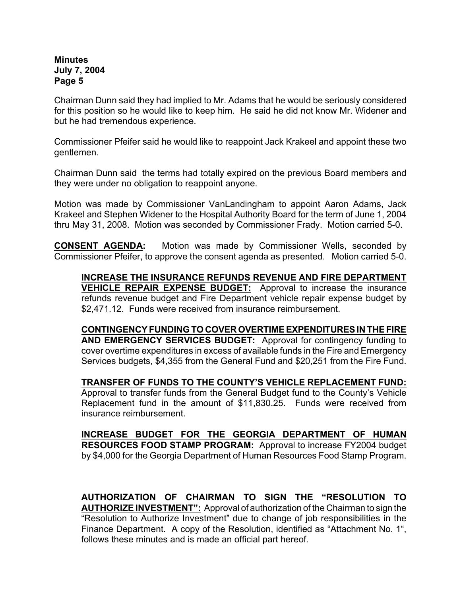Chairman Dunn said they had implied to Mr. Adams that he would be seriously considered for this position so he would like to keep him. He said he did not know Mr. Widener and but he had tremendous experience.

Commissioner Pfeifer said he would like to reappoint Jack Krakeel and appoint these two gentlemen.

Chairman Dunn said the terms had totally expired on the previous Board members and they were under no obligation to reappoint anyone.

Motion was made by Commissioner VanLandingham to appoint Aaron Adams, Jack Krakeel and Stephen Widener to the Hospital Authority Board for the term of June 1, 2004 thru May 31, 2008. Motion was seconded by Commissioner Frady. Motion carried 5-0.

**CONSENT AGENDA:** Motion was made by Commissioner Wells, seconded by Commissioner Pfeifer, to approve the consent agenda as presented. Motion carried 5-0.

**INCREASE THE INSURANCE REFUNDS REVENUE AND FIRE DEPARTMENT VEHICLE REPAIR EXPENSE BUDGET:** Approval to increase the insurance refunds revenue budget and Fire Department vehicle repair expense budget by \$2,471.12. Funds were received from insurance reimbursement.

**CONTINGENCY FUNDING TO COVER OVERTIME EXPENDITURES IN THE FIRE AND EMERGENCY SERVICES BUDGET:** Approval for contingency funding to cover overtime expenditures in excess of available funds in the Fire and Emergency Services budgets, \$4,355 from the General Fund and \$20,251 from the Fire Fund.

**TRANSFER OF FUNDS TO THE COUNTY'S VEHICLE REPLACEMENT FUND:** Approval to transfer funds from the General Budget fund to the County's Vehicle Replacement fund in the amount of \$11,830.25. Funds were received from insurance reimbursement.

**INCREASE BUDGET FOR THE GEORGIA DEPARTMENT OF HUMAN RESOURCES FOOD STAMP PROGRAM:** Approval to increase FY2004 budget by \$4,000 for the Georgia Department of Human Resources Food Stamp Program.

**AUTHORIZATION OF CHAIRMAN TO SIGN THE "RESOLUTION TO AUTHORIZE INVESTMENT":** Approval of authorization of the Chairman to sign the "Resolution to Authorize Investment" due to change of job responsibilities in the Finance Department.A copy of the Resolution, identified as "Attachment No. 1", follows these minutes and is made an official part hereof.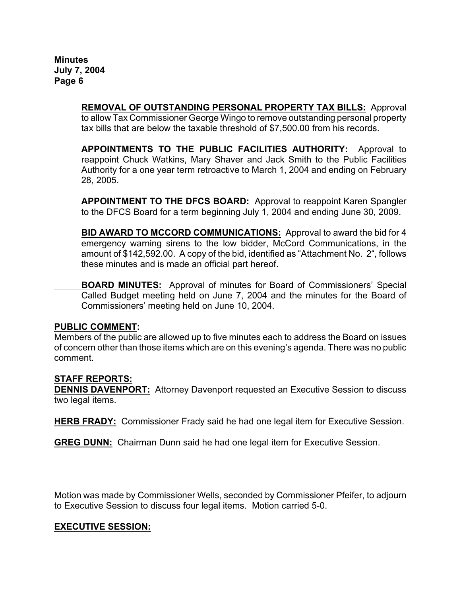> **REMOVAL OF OUTSTANDING PERSONAL PROPERTY TAX BILLS:** Approval to allow Tax Commissioner George Wingo to remove outstanding personal property tax bills that are below the taxable threshold of \$7,500.00 from his records.

> **APPOINTMENTS TO THE PUBLIC FACILITIES AUTHORITY:** Approval to reappoint Chuck Watkins, Mary Shaver and Jack Smith to the Public Facilities Authority for a one year term retroactive to March 1, 2004 and ending on February 28, 2005.

> **APPOINTMENT TO THE DFCS BOARD:** Approval to reappoint Karen Spangler to the DFCS Board for a term beginning July 1, 2004 and ending June 30, 2009.

> **BID AWARD TO MCCORD COMMUNICATIONS:** Approval to award the bid for 4 emergency warning sirens to the low bidder, McCord Communications, in the amount of \$142,592.00. A copy of the bid, identified as "Attachment No. 2", follows these minutes and is made an official part hereof.

> **BOARD MINUTES:** Approval of minutes for Board of Commissioners' Special Called Budget meeting held on June 7, 2004 and the minutes for the Board of Commissioners' meeting held on June 10, 2004.

#### **PUBLIC COMMENT:**

Members of the public are allowed up to five minutes each to address the Board on issues of concern other than those items which are on this evening's agenda. There was no public comment.

# **STAFF REPORTS:**

**DENNIS DAVENPORT:** Attorney Davenport requested an Executive Session to discuss two legal items.

**HERB FRADY:** Commissioner Frady said he had one legal item for Executive Session.

**GREG DUNN:** Chairman Dunn said he had one legal item for Executive Session.

Motion was made by Commissioner Wells, seconded by Commissioner Pfeifer, to adjourn to Executive Session to discuss four legal items. Motion carried 5-0.

# **EXECUTIVE SESSION:**